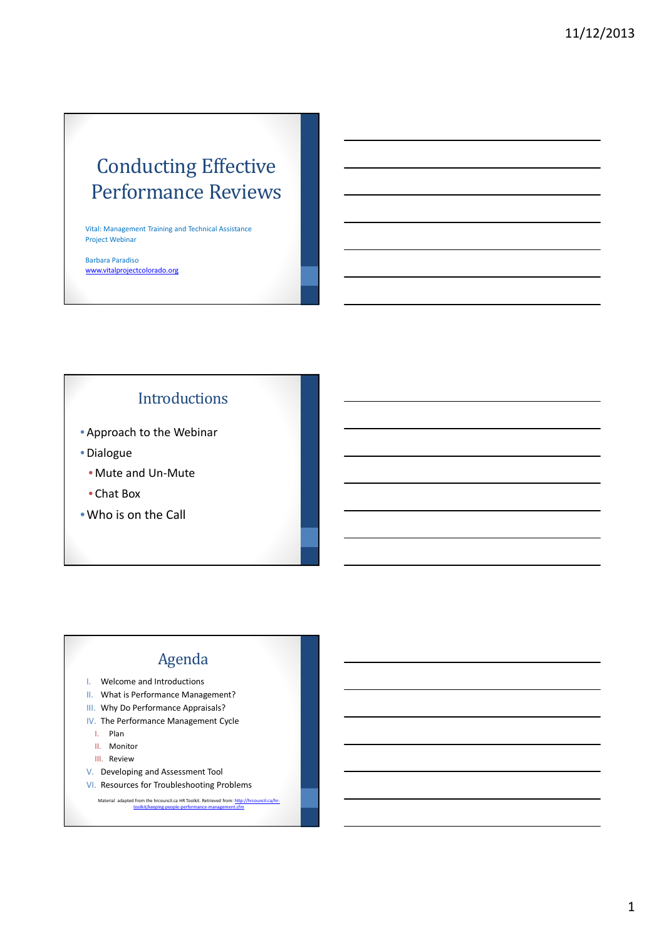# Conducting Effective Performance Reviews

Vital: Management Training and Technical Assistance Project Webinar

Barbara Paradiso www.vitalprojectcolorado.org

# Introductions

- Approach to the Webinar
- Dialogue
	- Mute and Un-Mute
	- Chat Box
- •Who is on the Call

# Agenda

- I. Welcome and Introductions
- II. What is Performance Management?
- III. Why Do Performance Appraisals?
- IV. The Performance Management Cycle
	- I. Plan
	- II. Monitor
	- III. Review
- V. Developing and Assessment Tool
- VI. Resources for Troubleshooting Problems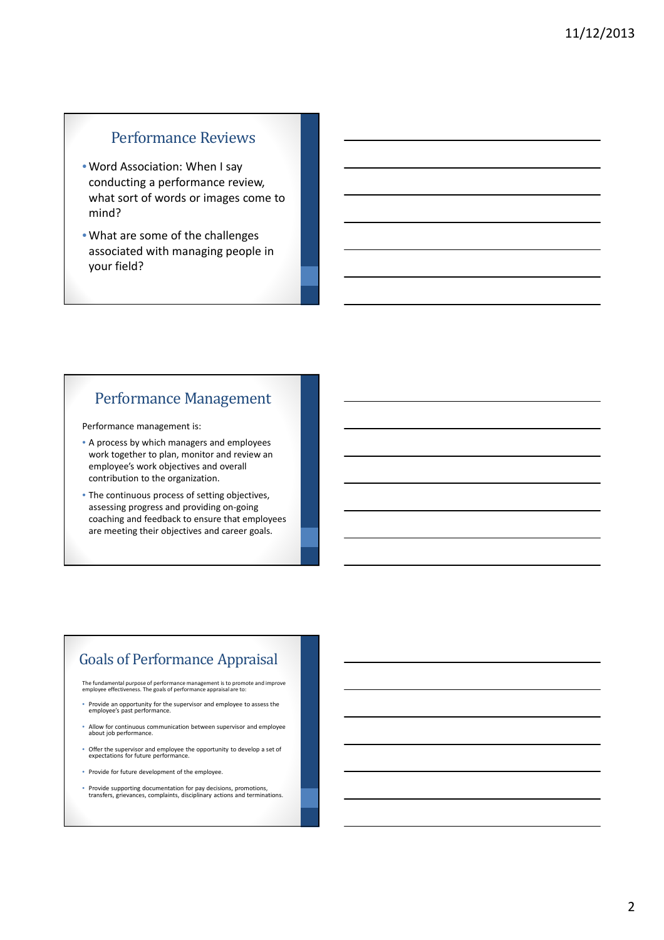## Performance Reviews

- Word Association: When I say conducting a performance review, what sort of words or images come to mind?
- What are some of the challenges associated with managing people in your field?

## Performance Management

Performance management is:

- A process by which managers and employees work together to plan, monitor and review an employee's work objectives and overall contribution to the organization.
- The continuous process of setting objectives, assessing progress and providing on-going coaching and feedback to ensure that employees are meeting their objectives and career goals.

# Goals of Performance Appraisal

The fundamental purpose of performance management is to promote and improve employee effectiveness. The goals of performance appraisal are to:

- Provide an opportunity for the supervisor and employee to assess the employee's past performance.
- Allow for continuous communication between supervisor and employee about job performance.
- Offer the supervisor and employee the opportunity to develop a set of expectations for future performance.
- Provide for future development of the employee.
- Provide supporting documentation for pay decisions, promotions, transfers, grievances, complaints, disciplinary actions and terminations.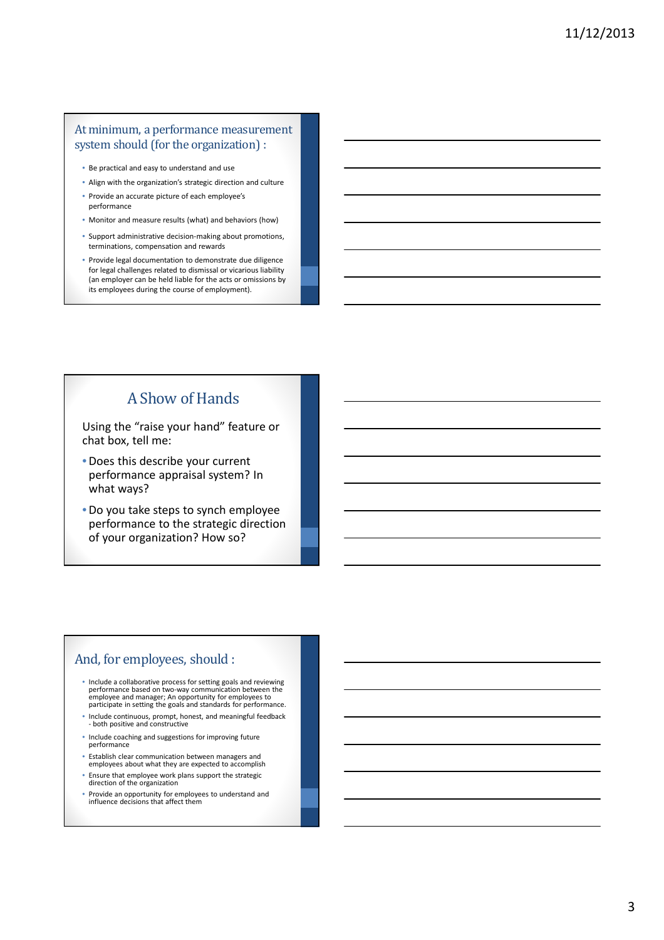#### At minimum, a performance measurement system should (for the organization) :

- Be practical and easy to understand and use
- Align with the organization's strategic direction and culture
- Provide an accurate picture of each employee's performance
- Monitor and measure results (what) and behaviors (how)
- Support administrative decision-making about promotions, terminations, compensation and rewards
- Provide legal documentation to demonstrate due diligence for legal challenges related to dismissal or vicarious liability (an employer can be held liable for the acts or omissions by its employees during the course of employment).

# A Show of Hands

Using the "raise your hand" feature or chat box, tell me:

- Does this describe your current performance appraisal system? In what ways?
- Do you take steps to synch employee performance to the strategic direction of your organization? How so?

## And, for employees, should :

- Include a collaborative process for setting goals and reviewing performance based on two-way communication between the employee and manager; An opportunity for employees to participate in setting the goals and standards for performance.
- Include continuous, prompt, honest, and meaningful feedback both positive and constructive
- Include coaching and suggestions for improving future performance
- Establish clear communication between managers and employees about what they are expected to accomplish
- Ensure that employee work plans support the strategic direction of the organization
- Provide an opportunity for employees to understand and influence decisions that affect them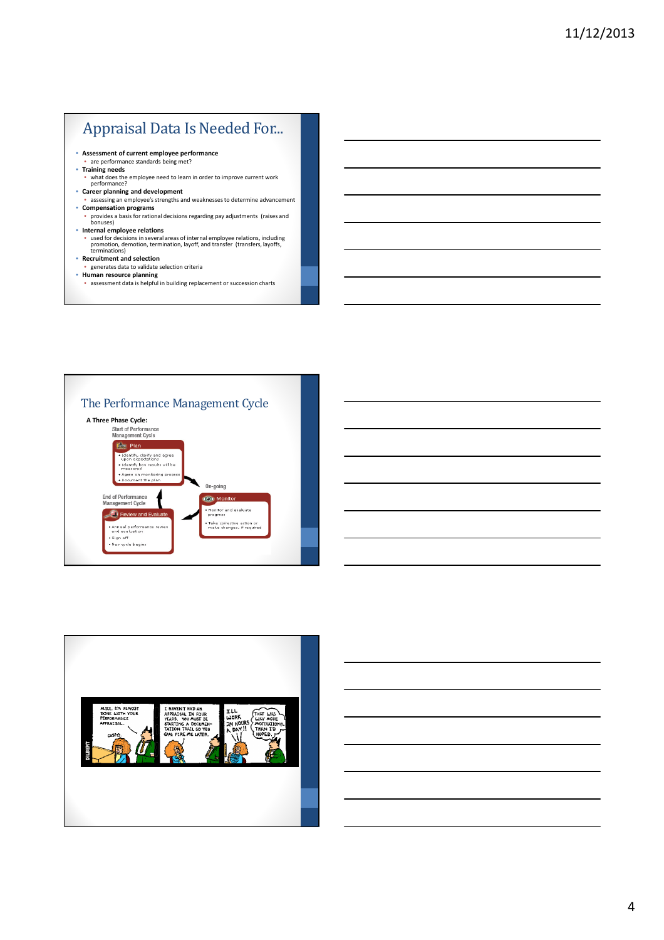# Appraisal Data Is Needed For...

- **Assessment of current employee performance** are performance standards being met?
- 
- **Training needs**
	- what does the employee need to learn in order to improve current work performance?
- **Career planning and development**
- assessing an employee's strengths and weaknesses to determine advancement
- **Compensation programs** • provides a basis for rational decisions regarding pay adjustments (raises and bonuses)
- 
- **Internal employee relations**<br>• used for decisions in several areas of internal employee relations, including<br>promotion, demotion, termination, layoff, and transfer (transfers, layoffs,<br>terminations)
- 
- **Recruitment and selection** generates data to validate selection criteria
- **Human resource planning**
- assessment data is helpful in building replacement or succession charts



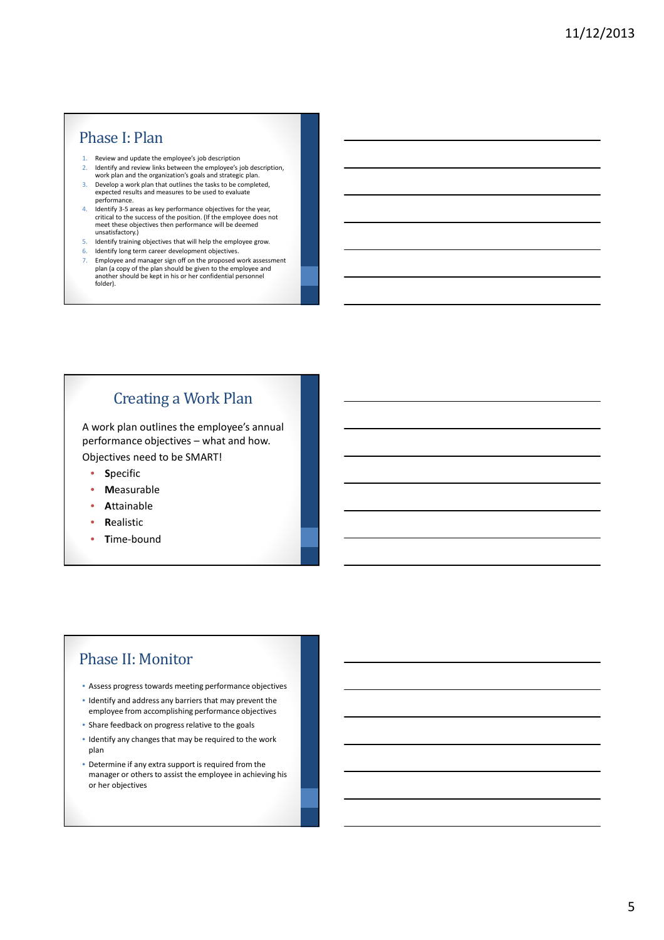## Phase I: Plan

- 1. Review and update the employee's job description
- 2. Identify and review links between the employee's job description, work plan and the organization's goals and strategic plan.
- 3. Develop a work plan that outlines the tasks to be completed, expected results and measures to be used to evaluate performance.
- 4. Identify 3-5 areas as key performance objectives for the year, critical to the success of the position. (If the employee does not meet these objectives then performance will be deemed unsatisfactory.)
- 5. Identify training objectives that will help the employee grow.
- 6. Identify long term career development objectives.
- 7. Employee and manager sign off on the proposed work assessment plan (a copy of the plan should be given to the employee and another should be kept in his or her confidential personnel folder).

# Creating a Work Plan

A work plan outlines the employee's annual performance objectives – what and how.

Objectives need to be SMART!

- **S**pecific
- **M**easurable
- **A**ttainable
- **R**ealistic
- **T**ime-bound

# Phase II: Monitor

- Assess progress towards meeting performance objectives
- Identify and address any barriers that may prevent the employee from accomplishing performance objectives
- Share feedback on progress relative to the goals
- Identify any changes that may be required to the work plan
- Determine if any extra support is required from the manager or others to assist the employee in achieving his or her objectives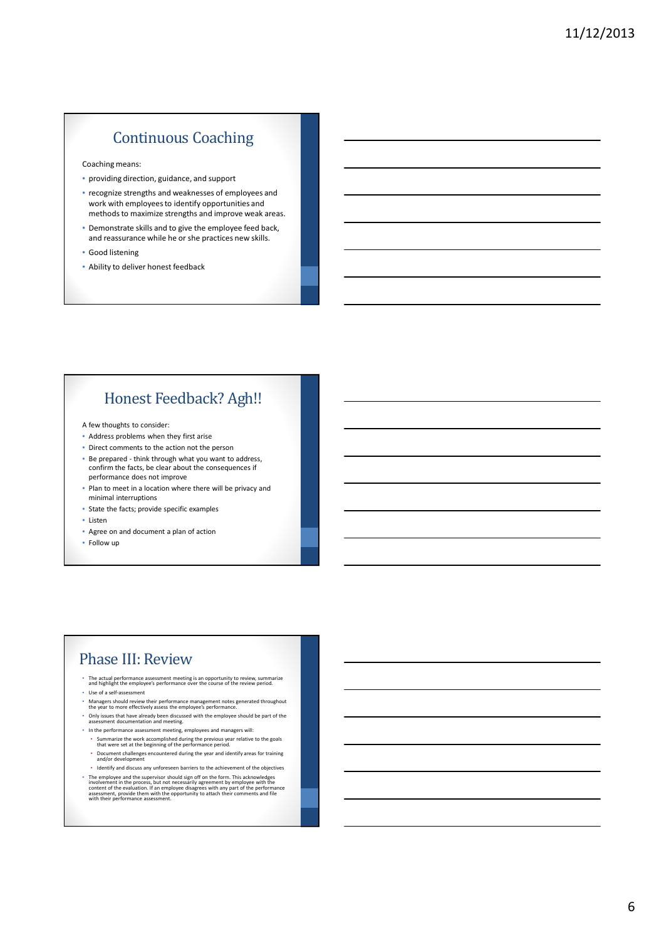# Continuous Coaching

Coaching means:

- providing direction, guidance, and support
- recognize strengths and weaknesses of employees and work with employees to identify opportunities and methods to maximize strengths and improve weak areas.
- Demonstrate skills and to give the employee feed back, and reassurance while he or she practices new skills.
- Good listening
- Ability to deliver honest feedback

# Honest Feedback? Agh!!

A few thoughts to consider:

- Address problems when they first arise
- Direct comments to the action not the person
- Be prepared think through what you want to address, confirm the facts, be clear about the consequences if performance does not improve
- Plan to meet in a location where there will be privacy and minimal interruptions
- State the facts; provide specific examples
- Listen
- Agree on and document a plan of action
- Follow up

## Phase III: Review

- The actual performance assessment meeting is an opportunity to review, summarize and highlight the employee's performance over the course of the review period. • Use of a self-assessment
- 
- Managers should review their performance management notes generated throughout the year to more effectively assess the employee's performance. • Only issues that have already been discussed with the employee should be part of the assessment documentation and meeting.
- In the performance assessment meeting, employees and managers will:
	- Summarize the work accomplished during the previous year relative to the goals that were set at the beginning of the performance period.
	- Document challenges encountered during the year and identify areas for training and/or development
- Identify and discuss any unforeseen barriers to the achievement of the objectives
- The employee and the supervisor should sign off on the form. This acknowledges<br>involvement in the process, but not necessarily agreement by employee with the<br>content of the evaluation. If an employee disagrees with any p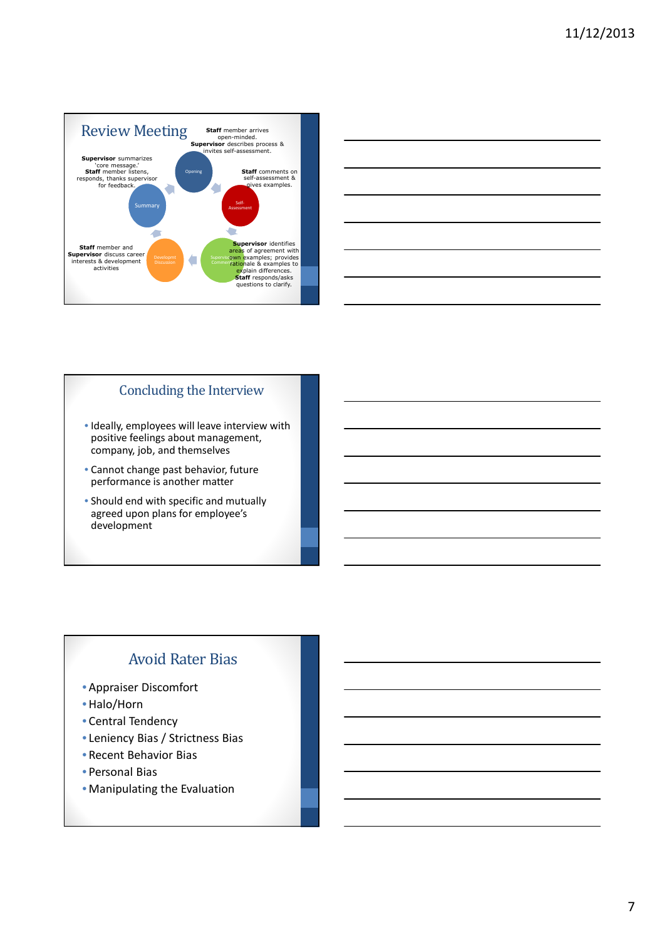

| and the control of the control of the control of the control of the control of the control of the control of the      |  |  |
|-----------------------------------------------------------------------------------------------------------------------|--|--|
|                                                                                                                       |  |  |
| <u> 1989 - Johann Stoff, amerikansk politiker (d. 1989)</u>                                                           |  |  |
| <u> 1989 - Johann Harry Harry Harry Harry Harry Harry Harry Harry Harry Harry Harry Harry Harry Harry Harry Harry</u> |  |  |
|                                                                                                                       |  |  |
| <u> 1989 - Johann Harry Harry Harry Harry Harry Harry Harry Harry Harry Harry Harry Harry Harry Harry Harry Harry</u> |  |  |
| the control of the control of the control of                                                                          |  |  |
|                                                                                                                       |  |  |

#### Concluding the Interview

- Ideally, employees will leave interview with positive feelings about management, company, job, and themselves
- Cannot change past behavior, future performance is another matter
- Should end with specific and mutually agreed upon plans for employee's development

# Avoid Rater Bias

- Appraiser Discomfort
- •Halo/Horn
- Central Tendency
- Leniency Bias / Strictness Bias
- Recent Behavior Bias
- Personal Bias
- Manipulating the Evaluation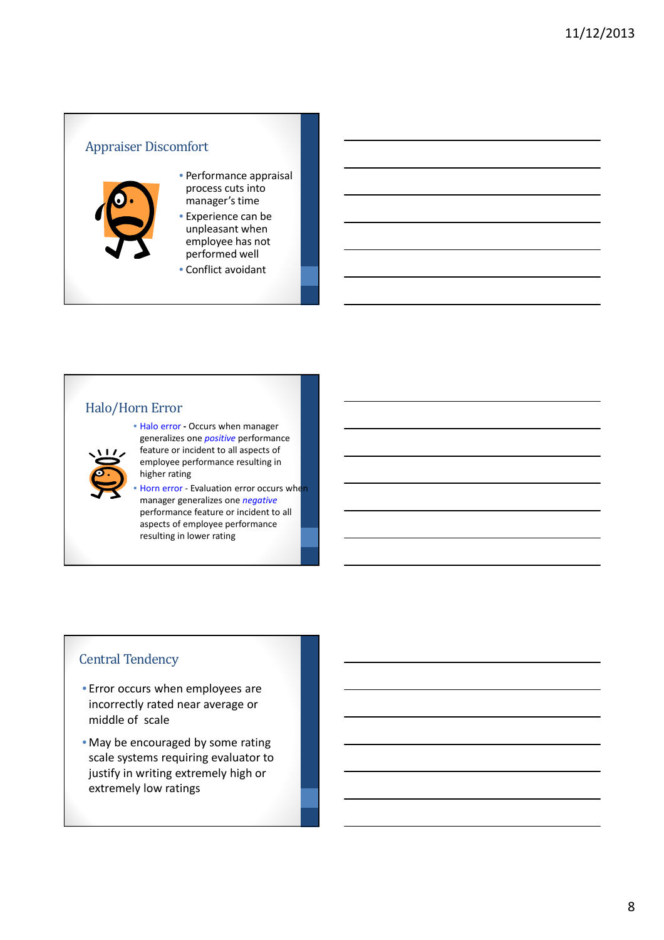## Appraiser Discomfort



- Performance appraisal process cuts into manager's time
- Experience can be unpleasant when employee has not performed well
- Conflict avoidant

#### Halo/Horn Error



• Halo error **-** Occurs when manager generalizes one *positive* performance feature or incident to all aspects of employee performance resulting in higher rating

Horn error - Evaluation error occurs when manager generalizes one *negative* performance feature or incident to all aspects of employee performance resulting in lower rating

## Central Tendency

- Error occurs when employees are incorrectly rated near average or middle of scale
- May be encouraged by some rating scale systems requiring evaluator to justify in writing extremely high or extremely low ratings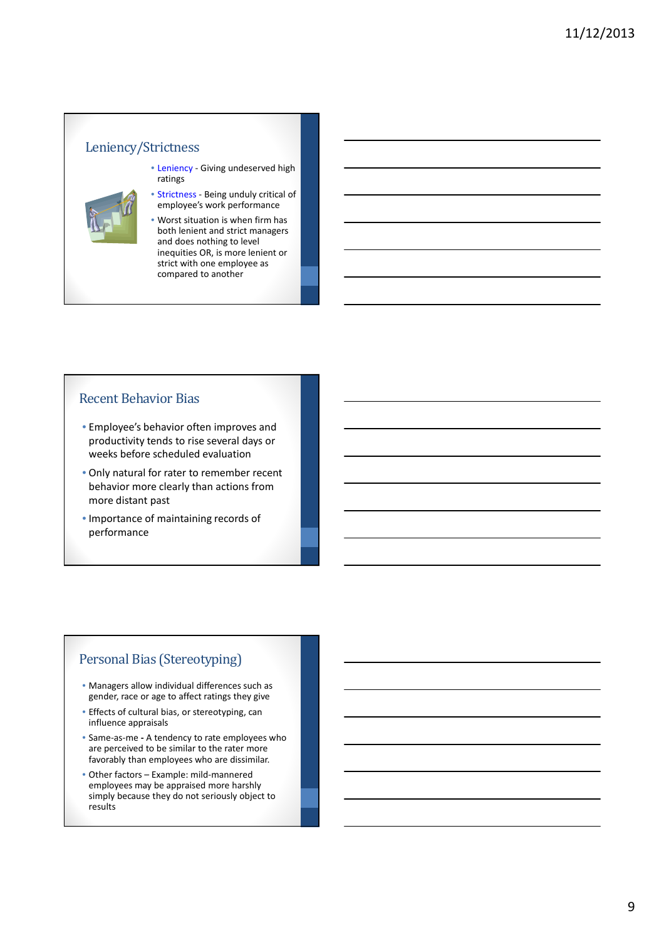#### Leniency/Strictness

- Leniency Giving undeserved high ratings
- 
- Strictness Being unduly critical of employee's work performance
- Worst situation is when firm has both lenient and strict managers and does nothing to level inequities OR, is more lenient or strict with one employee as compared to another

#### Recent Behavior Bias

- Employee's behavior often improves and productivity tends to rise several days or weeks before scheduled evaluation
- Only natural for rater to remember recent behavior more clearly than actions from more distant past
- Importance of maintaining records of performance

#### Personal Bias (Stereotyping)

- Managers allow individual differences such as gender, race or age to affect ratings they give
- Effects of cultural bias, or stereotyping, can influence appraisals
- Same-as-me **-** A tendency to rate employees who are perceived to be similar to the rater more favorably than employees who are dissimilar.
- Other factors Example: mild-mannered employees may be appraised more harshly simply because they do not seriously object to results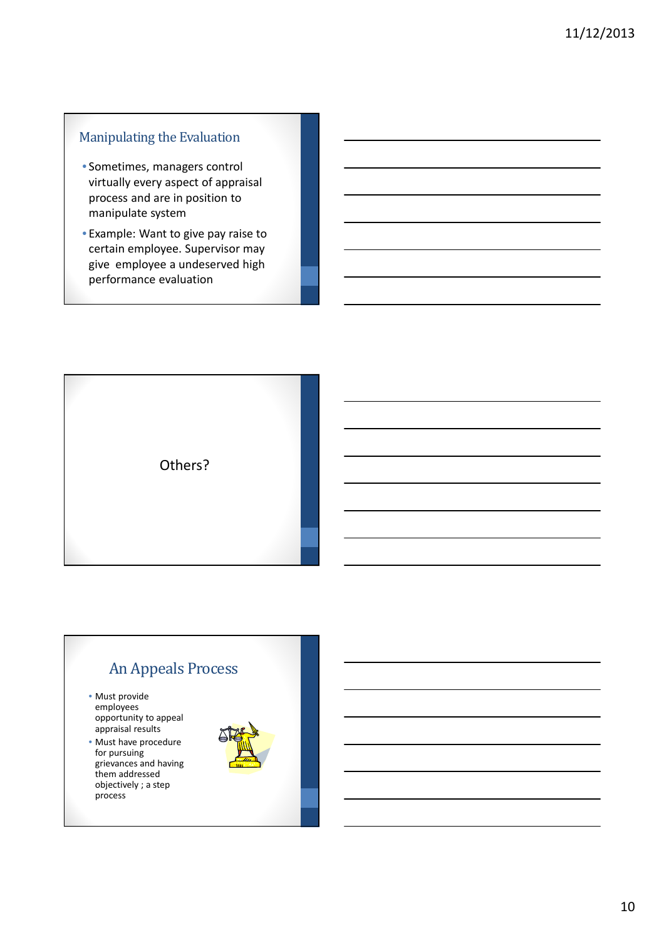## Manipulating the Evaluation

- Sometimes, managers control virtually every aspect of appraisal process and are in position to manipulate system
- Example: Want to give pay raise to certain employee. Supervisor may give employee a undeserved high performance evaluation



# An Appeals Process

- Must provide employees opportunity to appeal appraisal results
- Must have procedure for pursuing grievances and having them addressed objectively ; a step process

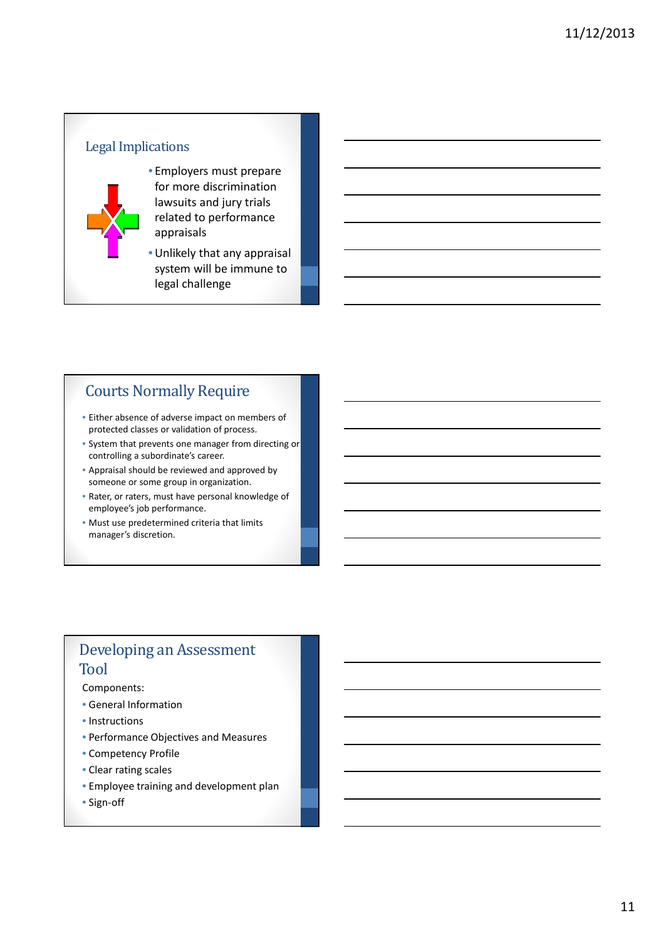# Legal Implications



• Employers must prepare for more discrimination lawsuits and jury trials related to performance appraisals

•Unlikely that any appraisal system will be immune to legal challenge

# Courts Normally Require

- Either absence of adverse impact on members of protected classes or validation of process.
- System that prevents one manager from directing or controlling a subordinate's career.
- Appraisal should be reviewed and approved by someone or some group in organization.
- Rater, or raters, must have personal knowledge of employee's job performance.
- Must use predetermined criteria that limits manager's discretion.

## Developing an Assessment Tool

Components:

- General Information
- Instructions
- Performance Objectives and Measures
- Competency Profile
- Clear rating scales
- Employee training and development plan
- Sign-off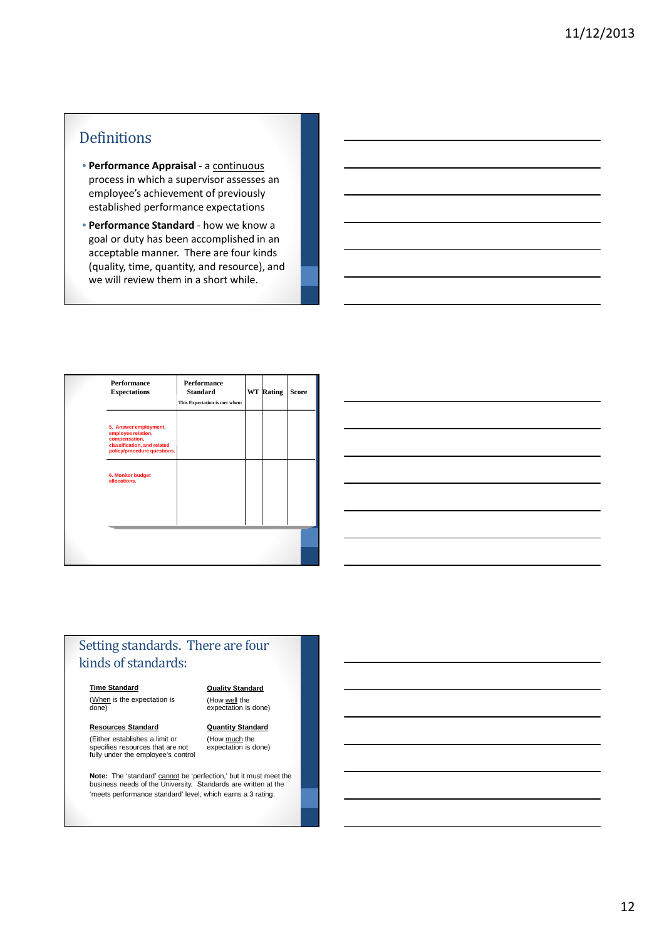## Definitions

- **Performance Appraisal** a continuous process in which a supervisor assesses an employee's achievement of previously established performance expectations
- **Performance Standard** how we know a goal or duty has been accomplished in an acceptable manner. There are four kinds (quality, time, quantity, and resource), and we will review them in a short while.

| <b>Performance</b><br><b>Expectations</b>                                                                                  | <b>Performance</b><br><b>Standard</b><br>This Expectation is met when: | <b>WT</b> Rating | <b>Score</b> |
|----------------------------------------------------------------------------------------------------------------------------|------------------------------------------------------------------------|------------------|--------------|
| 5. Answer employment,<br>employee relation,<br>compensation,<br>classification, and related<br>policy/procedure questions. |                                                                        |                  |              |
| 6. Monitor budget<br>allocations.                                                                                          |                                                                        |                  |              |
|                                                                                                                            |                                                                        |                  |              |

## Setting standards. There are four kinds of standards:

#### **Time Standard**

(When is the expectation is done)

## **Quality Standard** (How well the<br>expectation is done)

**Resources Standard**

(Either establishes a limit or specifies resources that are not fully under the employee's control **Quantity Standard** (How much the<br>expectation is done)

**Note:** The 'standard' cannot be 'perfection,' but it must meet the<br>business needs of the University. Standards are written at the 'meets performance standard' level, which earns a 3 rating.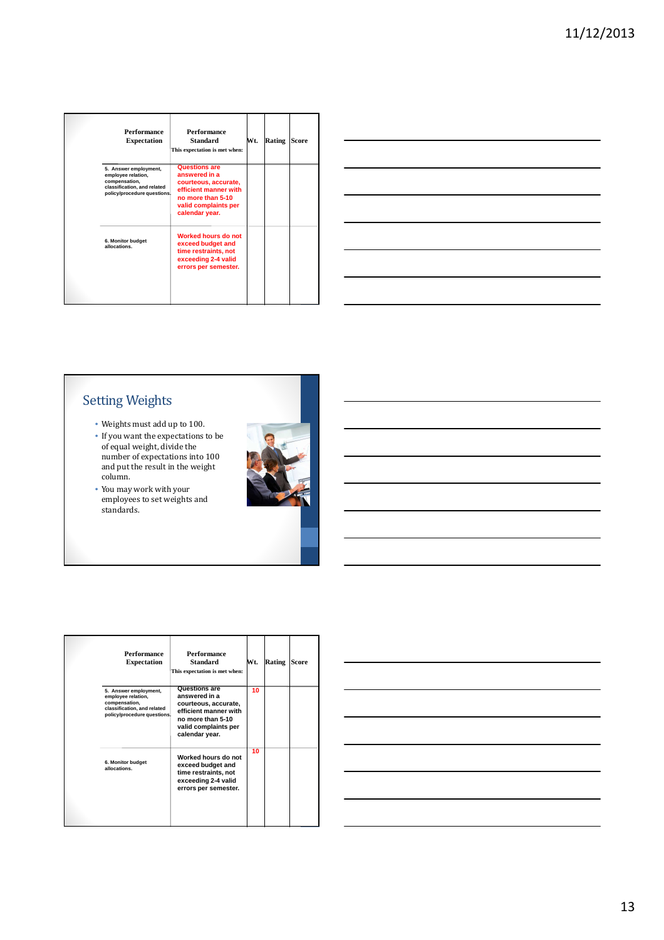|                                                              | Performance<br><b>Expectation</b>                          | <b>Performance</b><br><b>Standard</b><br>This expectation is met when:                                                                                | Wt. | Rating | <b>Score</b> |
|--------------------------------------------------------------|------------------------------------------------------------|-------------------------------------------------------------------------------------------------------------------------------------------------------|-----|--------|--------------|
| 5. Answer employment,<br>employee relation,<br>compensation, | classification, and related<br>policy/procedure questions. | <b>Questions are</b><br>answered in a<br>courteous, accurate,<br>efficient manner with<br>no more than 5-10<br>valid complaints per<br>calendar year. |     |        |              |
| 6. Monitor budget<br>allocations.                            |                                                            | Worked hours do not<br>exceed budget and<br>time restraints, not<br>exceeding 2-4 valid<br>errors per semester.                                       |     |        |              |

# Setting Weights

- Weights must add up to 100.
- If you want the expectations to be of equal weight, divide the number of expectations into 100 and put the result in the weight column.
- You may work with your employees to set weights and standards.



| <b>Performance</b><br><b>Expectation</b>                                                                                   | <b>Performance</b><br><b>Standard</b><br>This expectation is met when:                                                                         | Wt. | <b>Rating</b> | <b>Score</b> |
|----------------------------------------------------------------------------------------------------------------------------|------------------------------------------------------------------------------------------------------------------------------------------------|-----|---------------|--------------|
| 5. Answer employment.<br>employee relation,<br>compensation,<br>classification, and related<br>policy/procedure questions. | Questions are<br>answered in a<br>courteous, accurate,<br>efficient manner with<br>no more than 5-10<br>valid complaints per<br>calendar year. | 10  |               |              |
| 6. Monitor budget<br>allocations.                                                                                          | Worked hours do not<br>exceed budget and<br>time restraints, not<br>exceeding 2-4 valid<br>errors per semester.                                | 10  |               |              |

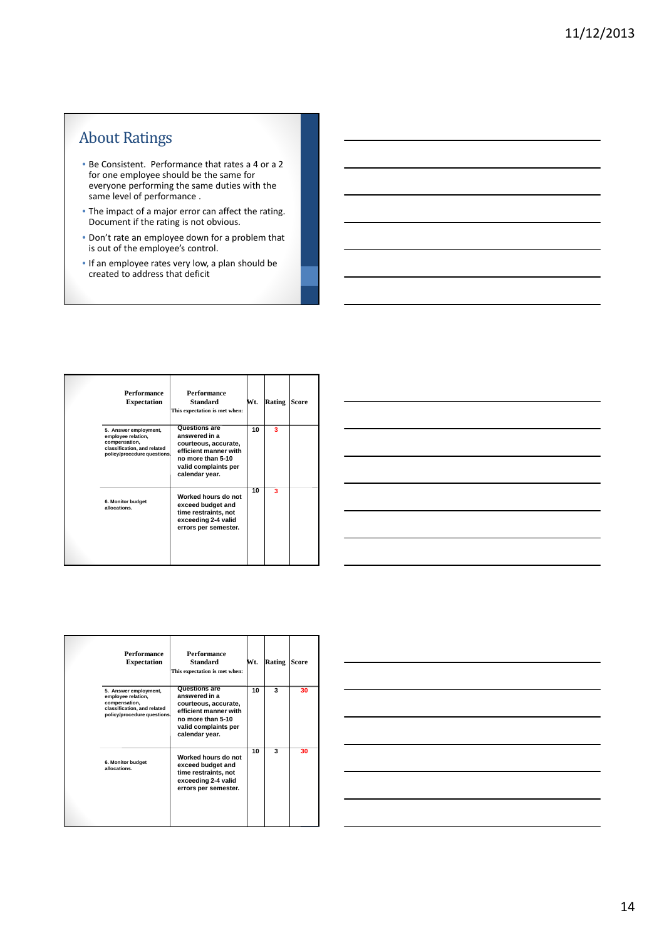# About Ratings

- Be Consistent. Performance that rates a 4 or a 2 for one employee should be the same for everyone performing the same duties with the same level of performance .
- The impact of a major error can affect the rating. Document if the rating is not obvious.
- Don't rate an employee down for a problem that is out of the employee's control.
- If an employee rates very low, a plan should be created to address that deficit

| Performance<br><b>Expectation</b>                                                                                          | Performance<br><b>Standard</b><br>This expectation is met when:                                                                                       | Wt. | Rating | <b>Score</b> |
|----------------------------------------------------------------------------------------------------------------------------|-------------------------------------------------------------------------------------------------------------------------------------------------------|-----|--------|--------------|
| 5. Answer employment,<br>employee relation,<br>compensation,<br>classification, and related<br>policy/procedure questions. | <b>Questions are</b><br>answered in a<br>courteous, accurate,<br>efficient manner with<br>no more than 5-10<br>valid complaints per<br>calendar year. | 10  | 3      |              |
| 6. Monitor budget<br>allocations.                                                                                          | Worked hours do not<br>exceed budget and<br>time restraints, not<br>exceeding 2-4 valid<br>errors per semester.                                       | 10  | з      |              |



| Performance<br><b>Expectation</b>                                                                                          | <b>Performance</b><br><b>Standard</b><br>This expectation is met when:                                                                         | Wt. | Rating | <b>Score</b> |
|----------------------------------------------------------------------------------------------------------------------------|------------------------------------------------------------------------------------------------------------------------------------------------|-----|--------|--------------|
| 5. Answer employment,<br>employee relation,<br>compensation,<br>classification, and related<br>policy/procedure questions. | Questions are<br>answered in a<br>courteous, accurate,<br>efficient manner with<br>no more than 5-10<br>valid complaints per<br>calendar year. | 10  | 3      | 30           |
| 6. Monitor budget<br>allocations.                                                                                          | Worked hours do not<br>exceed budget and<br>time restraints, not<br>exceeding 2-4 valid<br>errors per semester.                                | 10  | 3      | 30           |

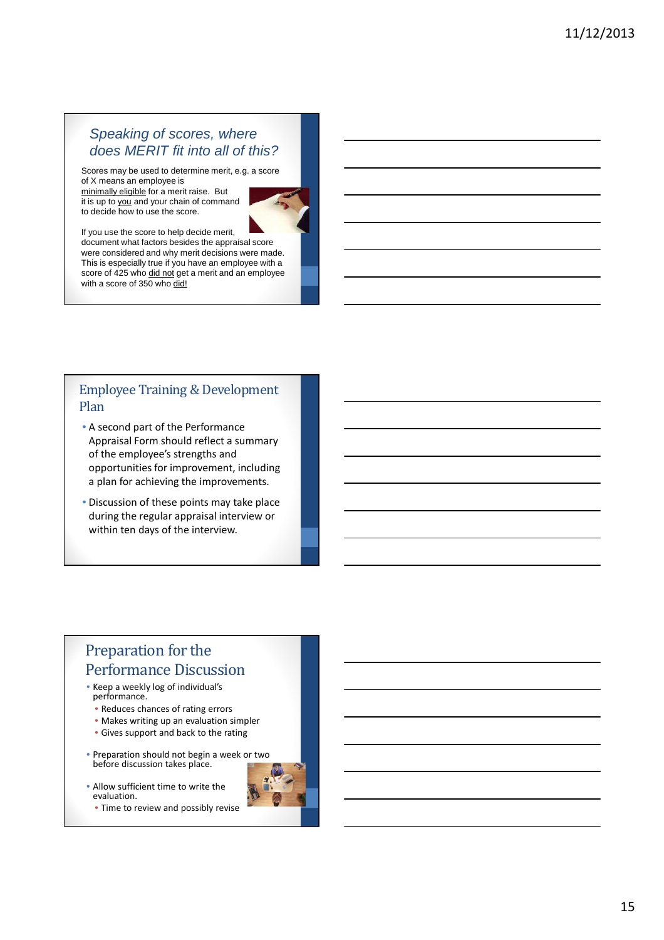## Speaking of scores, where does MERIT fit into all of this?

Scores may be used to determine merit, e.g. a score of X means an employee is

minimally eligible for a merit raise. But it is up to you and your chain of command to decide how to use the score.



If you use the score to help decide merit, document what factors besides the appraisal score were considered and why merit decisions were made. This is especially true if you have an employee with a score of 425 who did not get a merit and an employee with a score of 350 who did!

## Employee Training & Development Plan

- A second part of the Performance Appraisal Form should reflect a summary of the employee's strengths and opportunities for improvement, including a plan for achieving the improvements.
- Discussion of these points may take place during the regular appraisal interview or within ten days of the interview.

# Preparation for the Performance Discussion

- Keep a weekly log of individual's performance.
	- Reduces chances of rating errors
	- Makes writing up an evaluation simpler
	- Gives support and back to the rating
- Preparation should not begin a week or two before discussion takes place.
- Allow sufficient time to write the evaluation.
	- Time to review and possibly revise

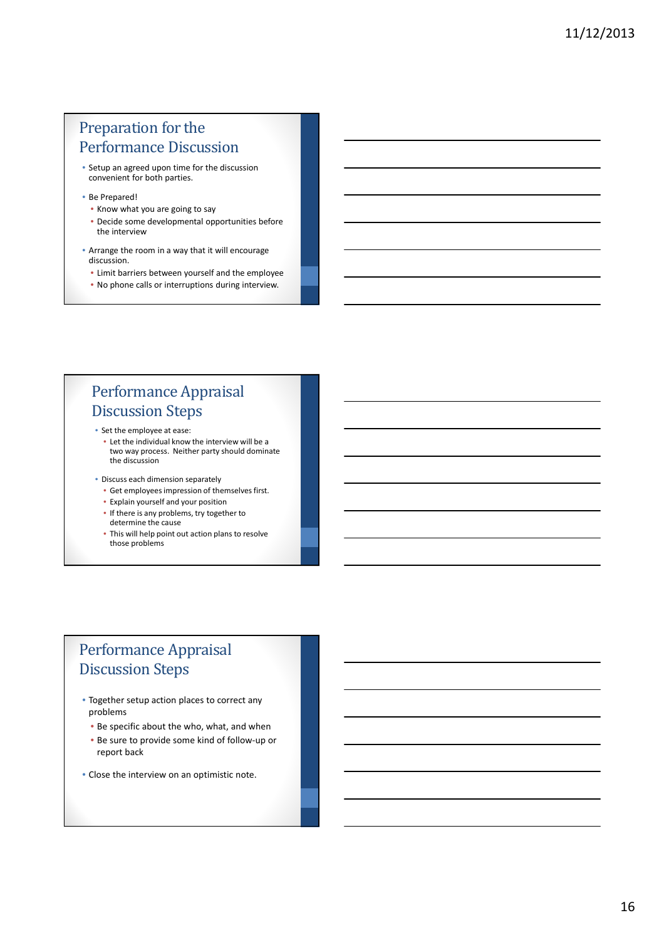# Preparation for the Performance Discussion

- Setup an agreed upon time for the discussion convenient for both parties.
- Be Prepared!
- Know what you are going to say
- Decide some developmental opportunities before the interview
- Arrange the room in a way that it will encourage discussion.
	- Limit barriers between yourself and the employee
	- No phone calls or interruptions during interview.

# Performance Appraisal Discussion Steps

- Set the employee at ease:
	- Let the individual know the interview will be a two way process. Neither party should dominate the discussion
- Discuss each dimension separately
	- Get employees impression of themselves first.
	- Explain yourself and your position
	- If there is any problems, try together to determine the cause
	- This will help point out action plans to resolve those problems

# Performance Appraisal Discussion Steps

- Together setup action places to correct any problems
	- Be specific about the who, what, and when
	- Be sure to provide some kind of follow-up or report back
- Close the interview on an optimistic note.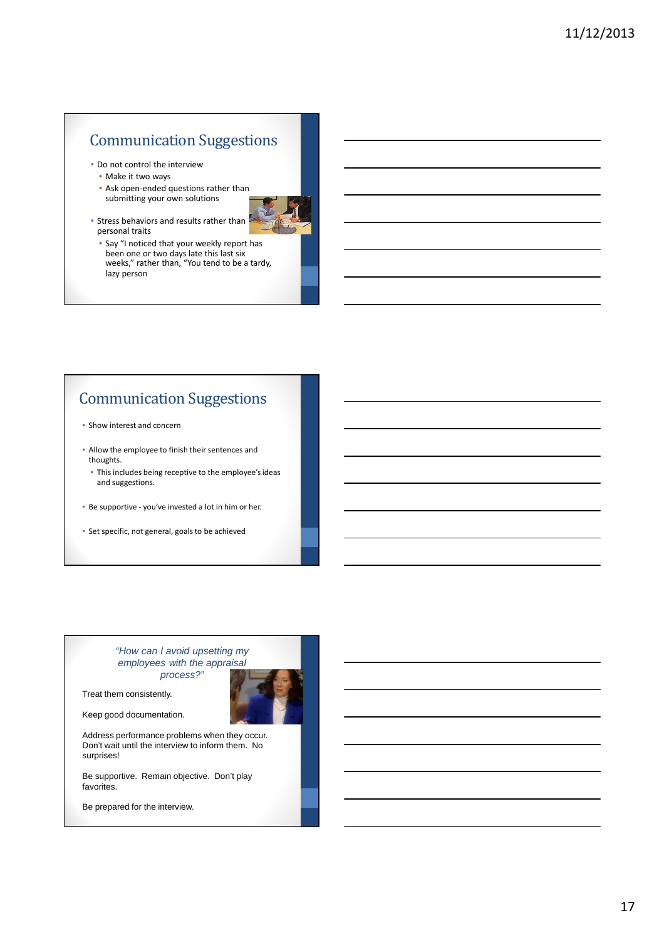# Communication Suggestions

- Do not control the interview
	- Make it two ways
	- Ask open-ended questions rather than submitting your own solutions
- Stress behaviors and results rather than personal traits
	- Say "I noticed that your weekly report has been one or two days late this last six weeks," rather than, "You tend to be a tardy, lazy person

# Communication Suggestions

- Show interest and concern
- Allow the employee to finish their sentences and thoughts.
	- This includes being receptive to the employee's ideas and suggestions.
- Be supportive you've invested a lot in him or her.
- Set specific, not general, goals to be achieved

#### "How can I avoid upsetting my employees with the appraisal process?"

Treat them consistently.

Keep good documentation.

Address performance problems when they occur. Don't wait until the interview to inform them. No surprises!

Be supportive. Remain objective. Don't play favorites.

Be prepared for the interview.